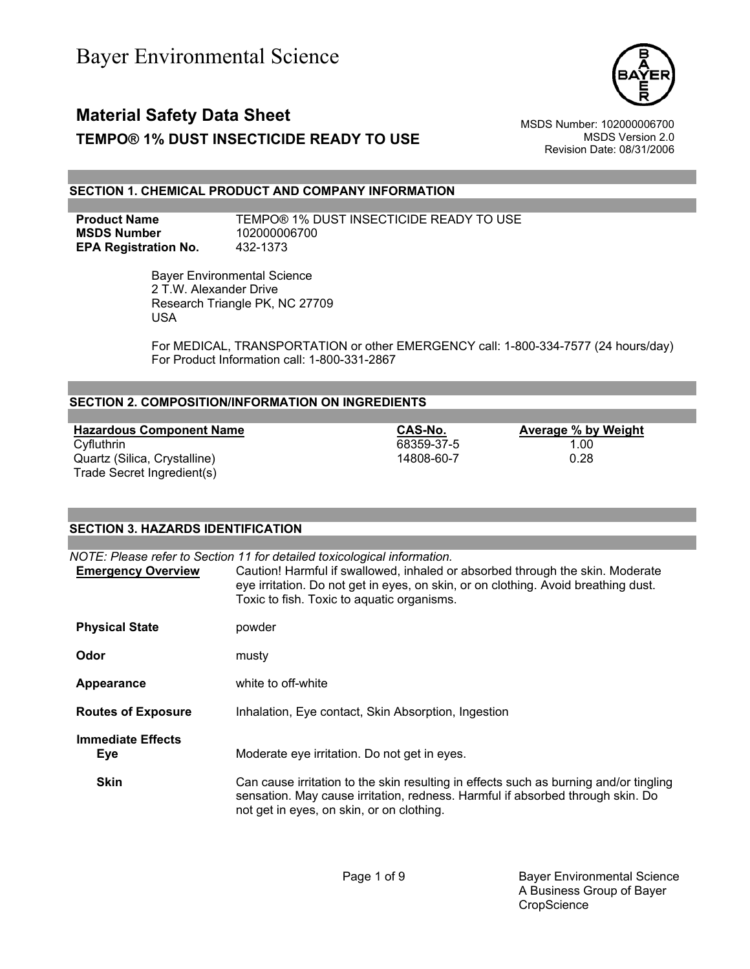

# **Material Safety Data Sheet** Material Safety Data Sheet MSDS Number: 102000006700 **TEMPO® 1% DUST INSECTICIDE READY TO USE** MSDS Version 2.0

Revision Date: 08/31/2006

### **SECTION 1. CHEMICAL PRODUCT AND COMPANY INFORMATION**

**MSDS Number** 102000006700 **EPA Registration No.** 432-1373

**Product Name** TEMPO® 1% DUST INSECTICIDE READY TO USE

 Bayer Environmental Science 2 T.W. Alexander Drive Research Triangle PK, NC 27709 USA

For MEDICAL, TRANSPORTATION or other EMERGENCY call: 1-800-334-7577 (24 hours/day) For Product Information call: 1-800-331-2867

### **SECTION 2. COMPOSITION/INFORMATION ON INGREDIENTS**

**Hazardous Component Name**<br>
Cyfluthrin **Cyfluthrin CAS-No. Average % by Weight**<br>
Cyfluthrin 1.00 Quartz (Silica, Crystalline) 14808-60-7 Trade Secret Ingredient(s)

68359-37-5 1.00<br>14808-60-7 0.28

| <b>SECTION 3. HAZARDS IDENTIFICATION</b> |                                                                                                                                                                                                                                                                                               |  |
|------------------------------------------|-----------------------------------------------------------------------------------------------------------------------------------------------------------------------------------------------------------------------------------------------------------------------------------------------|--|
|                                          |                                                                                                                                                                                                                                                                                               |  |
| <b>Emergency Overview</b>                | NOTE: Please refer to Section 11 for detailed toxicological information.<br>Caution! Harmful if swallowed, inhaled or absorbed through the skin. Moderate<br>eye irritation. Do not get in eyes, on skin, or on clothing. Avoid breathing dust.<br>Toxic to fish. Toxic to aquatic organisms. |  |
| <b>Physical State</b>                    | powder                                                                                                                                                                                                                                                                                        |  |
| Odor                                     | musty                                                                                                                                                                                                                                                                                         |  |
| Appearance                               | white to off-white                                                                                                                                                                                                                                                                            |  |
| <b>Routes of Exposure</b>                | Inhalation, Eye contact, Skin Absorption, Ingestion                                                                                                                                                                                                                                           |  |
| <b>Immediate Effects</b><br><b>Eye</b>   | Moderate eye irritation. Do not get in eyes.                                                                                                                                                                                                                                                  |  |
| <b>Skin</b>                              | Can cause irritation to the skin resulting in effects such as burning and/or tingling<br>sensation. May cause irritation, redness. Harmful if absorbed through skin. Do<br>not get in eyes, on skin, or on clothing.                                                                          |  |

Page 1 of 9 Bayer Environmental Science A Business Group of Bayer **CropScience**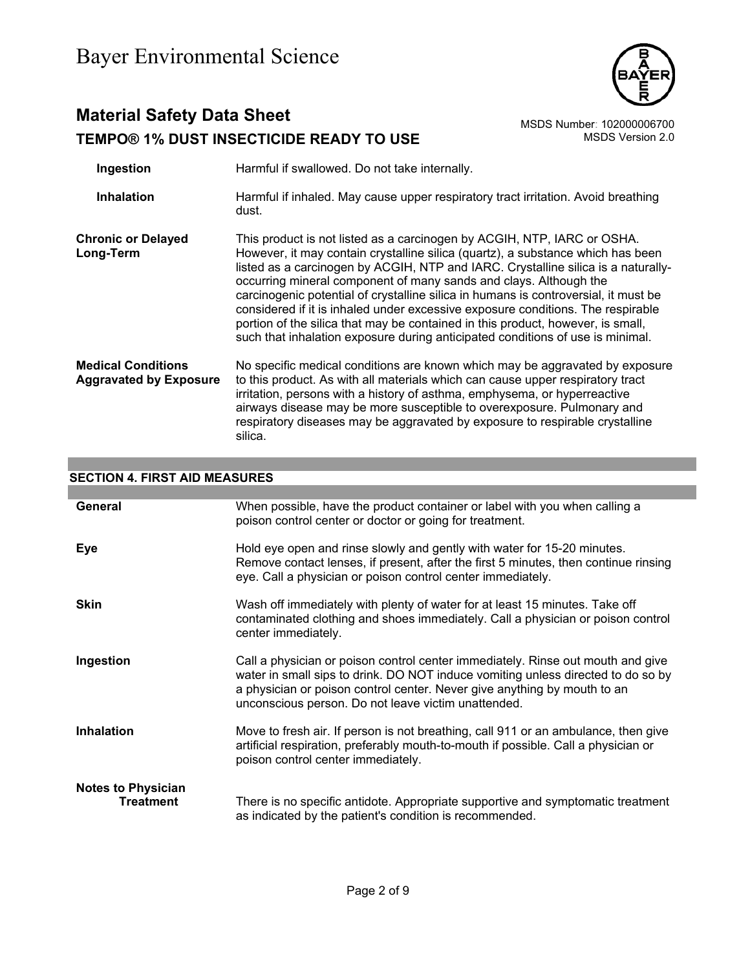

# **Material Safety Data Sheet**<br>TEMPO® 1% DUST INSECTICIDE READY TO USE<br>MSDS Version 2.0 **TEMPO® 1% DUST INSECTICIDE READY TO USE**

| Ingestion                                                  | Harmful if swallowed. Do not take internally.                                                                                                                                                                                                                                                                                                                                                                                                                                                                                                                                                                                                                       |
|------------------------------------------------------------|---------------------------------------------------------------------------------------------------------------------------------------------------------------------------------------------------------------------------------------------------------------------------------------------------------------------------------------------------------------------------------------------------------------------------------------------------------------------------------------------------------------------------------------------------------------------------------------------------------------------------------------------------------------------|
| <b>Inhalation</b>                                          | Harmful if inhaled. May cause upper respiratory tract irritation. Avoid breathing<br>dust.                                                                                                                                                                                                                                                                                                                                                                                                                                                                                                                                                                          |
| <b>Chronic or Delayed</b><br>Long-Term                     | This product is not listed as a carcinogen by ACGIH, NTP, IARC or OSHA.<br>However, it may contain crystalline silica (quartz), a substance which has been<br>listed as a carcinogen by ACGIH, NTP and IARC. Crystalline silica is a naturally-<br>occurring mineral component of many sands and clays. Although the<br>carcinogenic potential of crystalline silica in humans is controversial, it must be<br>considered if it is inhaled under excessive exposure conditions. The respirable<br>portion of the silica that may be contained in this product, however, is small,<br>such that inhalation exposure during anticipated conditions of use is minimal. |
| <b>Medical Conditions</b><br><b>Aggravated by Exposure</b> | No specific medical conditions are known which may be aggravated by exposure<br>to this product. As with all materials which can cause upper respiratory tract<br>irritation, persons with a history of asthma, emphysema, or hyperreactive<br>airways disease may be more susceptible to overexposure. Pulmonary and<br>respiratory diseases may be aggravated by exposure to respirable crystalline<br>silica.                                                                                                                                                                                                                                                    |

# **SECTION 4. FIRST AID MEASURES**

| General                                       | When possible, have the product container or label with you when calling a<br>poison control center or doctor or going for treatment.                                                                                                                                                                  |
|-----------------------------------------------|--------------------------------------------------------------------------------------------------------------------------------------------------------------------------------------------------------------------------------------------------------------------------------------------------------|
| Eye                                           | Hold eye open and rinse slowly and gently with water for 15-20 minutes.<br>Remove contact lenses, if present, after the first 5 minutes, then continue rinsing<br>eye. Call a physician or poison control center immediately.                                                                          |
| <b>Skin</b>                                   | Wash off immediately with plenty of water for at least 15 minutes. Take off<br>contaminated clothing and shoes immediately. Call a physician or poison control<br>center immediately.                                                                                                                  |
| Ingestion                                     | Call a physician or poison control center immediately. Rinse out mouth and give<br>water in small sips to drink. DO NOT induce vomiting unless directed to do so by<br>a physician or poison control center. Never give anything by mouth to an<br>unconscious person. Do not leave victim unattended. |
| <b>Inhalation</b>                             | Move to fresh air. If person is not breathing, call 911 or an ambulance, then give<br>artificial respiration, preferably mouth-to-mouth if possible. Call a physician or<br>poison control center immediately.                                                                                         |
| <b>Notes to Physician</b><br><b>Treatment</b> | There is no specific antidote. Appropriate supportive and symptomatic treatment<br>as indicated by the patient's condition is recommended.                                                                                                                                                             |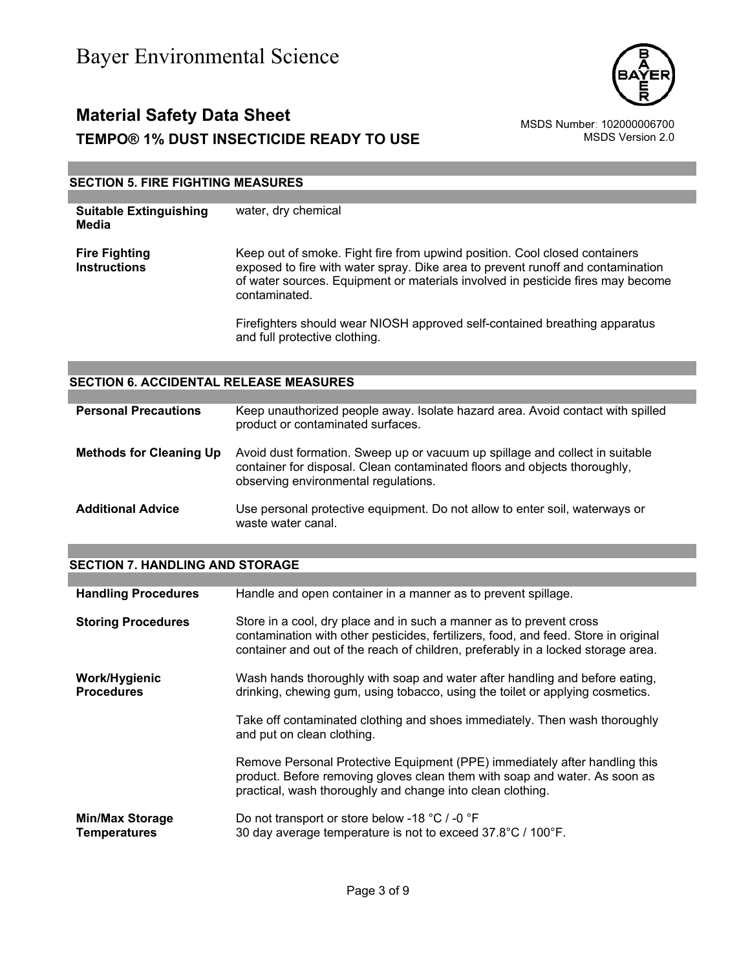

# **Material Safety Data Sheet**<br>102000006700 MSDS Number: 102000006700<br>1.0.MSDS Version 2 **TEMPO® 1% DUST INSECTICIDE READY TO USE**

## **SECTION 5. FIRE FIGHTING MEASURES**

| <b>Suitable Extinguishing</b><br>Media      | water, dry chemical                                                                                                                                                                                                                                               |
|---------------------------------------------|-------------------------------------------------------------------------------------------------------------------------------------------------------------------------------------------------------------------------------------------------------------------|
| <b>Fire Fighting</b><br><b>Instructions</b> | Keep out of smoke. Fight fire from upwind position. Cool closed containers<br>exposed to fire with water spray. Dike area to prevent runoff and contamination<br>of water sources. Equipment or materials involved in pesticide fires may become<br>contaminated. |
|                                             | Firefighters should wear NIOSH approved self-contained breathing apparatus<br>and full protective clothing.                                                                                                                                                       |

### **SECTION 6. ACCIDENTAL RELEASE MEASURES**

| <b>Personal Precautions</b>    | Keep unauthorized people away. Isolate hazard area. Avoid contact with spilled<br>product or contaminated surfaces.                                                                               |
|--------------------------------|---------------------------------------------------------------------------------------------------------------------------------------------------------------------------------------------------|
| <b>Methods for Cleaning Up</b> | Avoid dust formation. Sweep up or vacuum up spillage and collect in suitable<br>container for disposal. Clean contaminated floors and objects thoroughly,<br>observing environmental regulations. |
| <b>Additional Advice</b>       | Use personal protective equipment. Do not allow to enter soil, waterways or<br>waste water canal.                                                                                                 |

### **SECTION 7. HANDLING AND STORAGE**

| <b>Handling Procedures</b>                    | Handle and open container in a manner as to prevent spillage.                                                                                                                                                                                  |
|-----------------------------------------------|------------------------------------------------------------------------------------------------------------------------------------------------------------------------------------------------------------------------------------------------|
| <b>Storing Procedures</b>                     | Store in a cool, dry place and in such a manner as to prevent cross<br>contamination with other pesticides, fertilizers, food, and feed. Store in original<br>container and out of the reach of children, preferably in a locked storage area. |
| Work/Hygienic<br><b>Procedures</b>            | Wash hands thoroughly with soap and water after handling and before eating,<br>drinking, chewing gum, using tobacco, using the toilet or applying cosmetics.                                                                                   |
|                                               | Take off contaminated clothing and shoes immediately. Then wash thoroughly<br>and put on clean clothing.                                                                                                                                       |
|                                               | Remove Personal Protective Equipment (PPE) immediately after handling this<br>product. Before removing gloves clean them with soap and water. As soon as<br>practical, wash thoroughly and change into clean clothing.                         |
| <b>Min/Max Storage</b><br><b>Temperatures</b> | Do not transport or store below -18 °C / -0 °F<br>30 day average temperature is not to exceed 37.8°C / 100°F.                                                                                                                                  |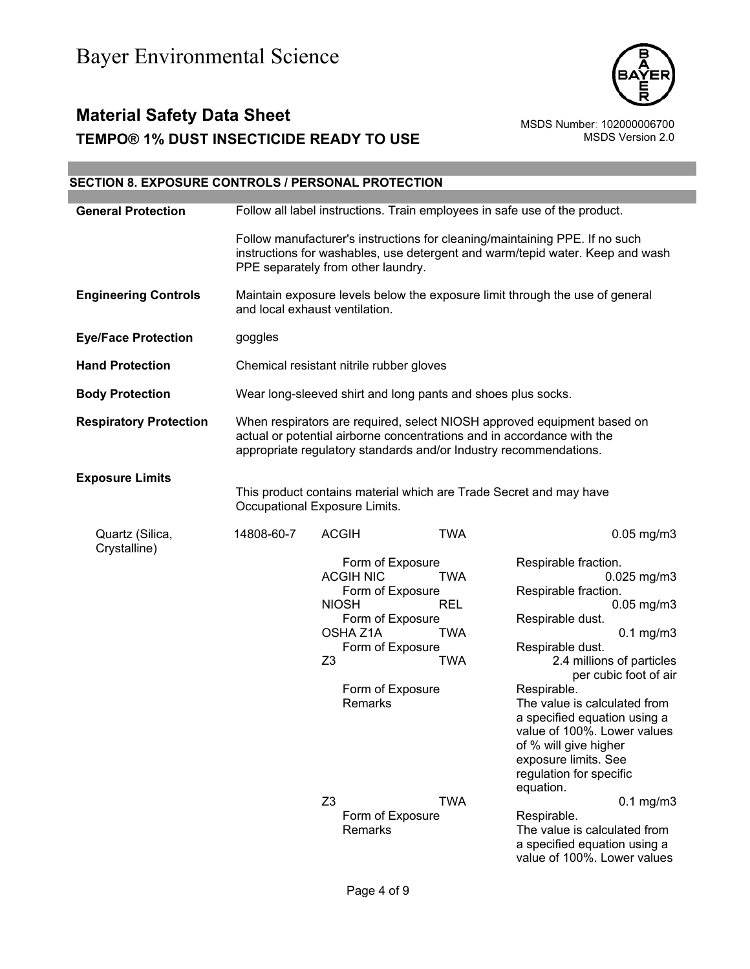

# **Material Safety Data Sheet**<br>TEMPO® 1% DUST INSECTICIDE READY TO USE<br>MSDS Version 2.0 **TEMPO® 1% DUST INSECTICIDE READY TO USE**

| <b>SECTION 8. EXPOSURE CONTROLS / PERSONAL PROTECTION</b> |                                                                                                                                                                                                                        |                                                                                                                |                                                                                                  |                                                             |                                                                                                                                                                                                                                                                                                                                                                                                                            |
|-----------------------------------------------------------|------------------------------------------------------------------------------------------------------------------------------------------------------------------------------------------------------------------------|----------------------------------------------------------------------------------------------------------------|--------------------------------------------------------------------------------------------------|-------------------------------------------------------------|----------------------------------------------------------------------------------------------------------------------------------------------------------------------------------------------------------------------------------------------------------------------------------------------------------------------------------------------------------------------------------------------------------------------------|
| <b>General Protection</b>                                 | Follow all label instructions. Train employees in safe use of the product.                                                                                                                                             |                                                                                                                |                                                                                                  |                                                             |                                                                                                                                                                                                                                                                                                                                                                                                                            |
|                                                           | PPE separately from other laundry.                                                                                                                                                                                     |                                                                                                                |                                                                                                  |                                                             | Follow manufacturer's instructions for cleaning/maintaining PPE. If no such<br>instructions for washables, use detergent and warm/tepid water. Keep and wash                                                                                                                                                                                                                                                               |
| <b>Engineering Controls</b>                               |                                                                                                                                                                                                                        | Maintain exposure levels below the exposure limit through the use of general<br>and local exhaust ventilation. |                                                                                                  |                                                             |                                                                                                                                                                                                                                                                                                                                                                                                                            |
| <b>Eye/Face Protection</b>                                | goggles                                                                                                                                                                                                                |                                                                                                                |                                                                                                  |                                                             |                                                                                                                                                                                                                                                                                                                                                                                                                            |
| <b>Hand Protection</b>                                    | Chemical resistant nitrile rubber gloves                                                                                                                                                                               |                                                                                                                |                                                                                                  |                                                             |                                                                                                                                                                                                                                                                                                                                                                                                                            |
| <b>Body Protection</b>                                    |                                                                                                                                                                                                                        | Wear long-sleeved shirt and long pants and shoes plus socks.                                                   |                                                                                                  |                                                             |                                                                                                                                                                                                                                                                                                                                                                                                                            |
| <b>Respiratory Protection</b>                             | When respirators are required, select NIOSH approved equipment based on<br>actual or potential airborne concentrations and in accordance with the<br>appropriate regulatory standards and/or Industry recommendations. |                                                                                                                |                                                                                                  |                                                             |                                                                                                                                                                                                                                                                                                                                                                                                                            |
| <b>Exposure Limits</b>                                    | Occupational Exposure Limits.                                                                                                                                                                                          |                                                                                                                |                                                                                                  |                                                             | This product contains material which are Trade Secret and may have                                                                                                                                                                                                                                                                                                                                                         |
| Quartz (Silica,<br>Crystalline)                           | 14808-60-7                                                                                                                                                                                                             | <b>ACGIH</b><br><b>ACGIH NIC</b><br><b>NIOSH</b><br>OSHA Z1A<br>Z3<br>Remarks                                  | Form of Exposure<br>Form of Exposure<br>Form of Exposure<br>Form of Exposure<br>Form of Exposure | <b>TWA</b><br>TWA<br><b>REL</b><br><b>TWA</b><br><b>TWA</b> | $0.05$ mg/m $3$<br>Respirable fraction.<br>$0.025$ mg/m3<br>Respirable fraction.<br>$0.05$ mg/m $3$<br>Respirable dust.<br>$0.1$ mg/m $3$<br>Respirable dust.<br>2.4 millions of particles<br>per cubic foot of air<br>Respirable.<br>The value is calculated from<br>a specified equation using a<br>value of 100%. Lower values<br>of % will give higher<br>exposure limits. See<br>regulation for specific<br>equation. |
|                                                           |                                                                                                                                                                                                                        | Z <sub>3</sub><br>Remarks                                                                                      | Form of Exposure                                                                                 | <b>TWA</b>                                                  | $0.1$ mg/m $3$<br>Respirable.<br>The value is calculated from<br>a specified equation using a<br>value of 100%. Lower values                                                                                                                                                                                                                                                                                               |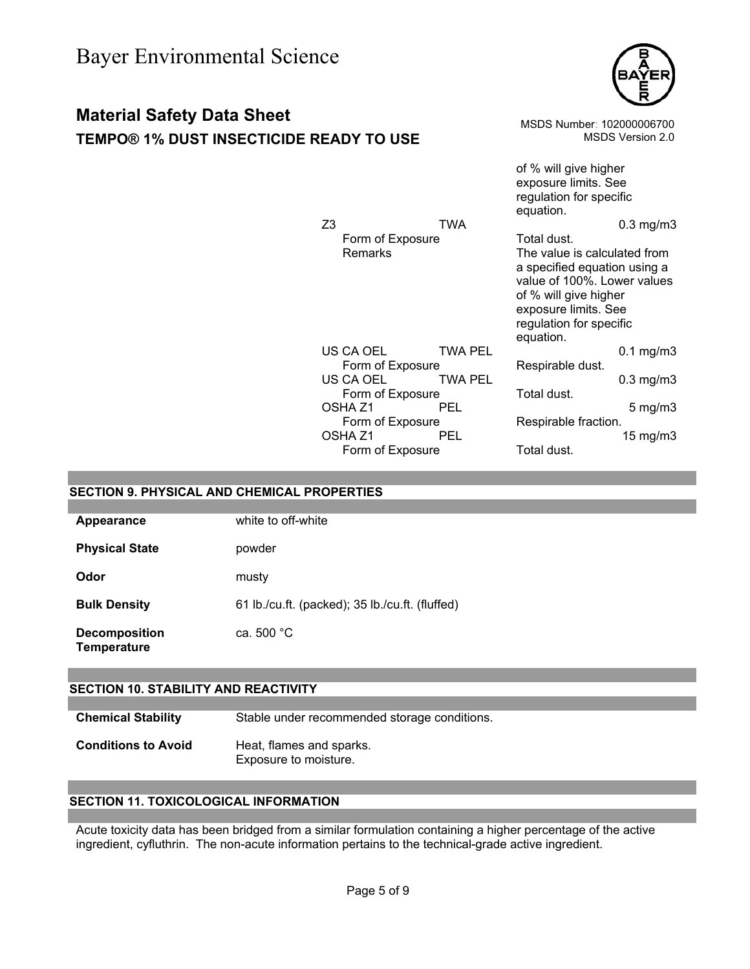# **Material Safety Data Sheet**

## **TEMPO® 1% DUST INSECTICIDE READY**



| MPO® 1% DUST INSECTICIDE READY TO USE |                                                                                                                                         |                                                       | MSDS Number: 102000006700                                                                                                                                                                                                                                                                    | MSDS Version 2.0                                                                  |
|---------------------------------------|-----------------------------------------------------------------------------------------------------------------------------------------|-------------------------------------------------------|----------------------------------------------------------------------------------------------------------------------------------------------------------------------------------------------------------------------------------------------------------------------------------------------|-----------------------------------------------------------------------------------|
|                                       | Z <sub>3</sub><br>Form of Exposure<br><b>Remarks</b>                                                                                    | <b>TWA</b>                                            | of % will give higher<br>exposure limits. See<br>regulation for specific<br>equation.<br>Total dust.<br>The value is calculated from<br>a specified equation using a<br>value of 100%. Lower values<br>of % will give higher<br>exposure limits. See<br>regulation for specific<br>equation. | $0.3$ mg/m $3$                                                                    |
|                                       | US CA OEL<br>Form of Exposure<br>US CA OEL<br>Form of Exposure<br>OSHA Z1<br>Form of Exposure<br>OSHA <sub>Z1</sub><br>Form of Exposure | <b>TWA PEL</b><br>TWA PEL<br><b>PEL</b><br><b>PEL</b> | Respirable dust.<br>Total dust.<br>Respirable fraction.<br>Total dust.                                                                                                                                                                                                                       | $0.1 \text{ mg/m}$ 3<br>$0.3$ mg/m $3$<br>$5 \text{ mg/m}$ 3<br>$15 \text{ mg/m}$ |

## **SECTION 9. PHYSICAL AND CHEMICAL PROPERTIES**

| Appearance                                 | white to off-white                              |
|--------------------------------------------|-------------------------------------------------|
| <b>Physical State</b>                      | powder                                          |
| Odor                                       | musty                                           |
| <b>Bulk Density</b>                        | 61 lb./cu.ft. (packed); 35 lb./cu.ft. (fluffed) |
| <b>Decomposition</b><br><b>Temperature</b> | ca. $500 °C$                                    |

## **SECTION 10. STABILITY AND REACTIVITY**

**Chemical Stability** Stable under recommended storage conditions.

**Conditions to Avoid** Heat, flames and sparks. Exposure to moisture.

## **SECTION 11. TOXICOLOGICAL INFORMATION**

Acute toxicity data has been bridged from a similar formulation containing a higher percentage of the active ingredient, cyfluthrin. The non-acute information pertains to the technical-grade active ingredient.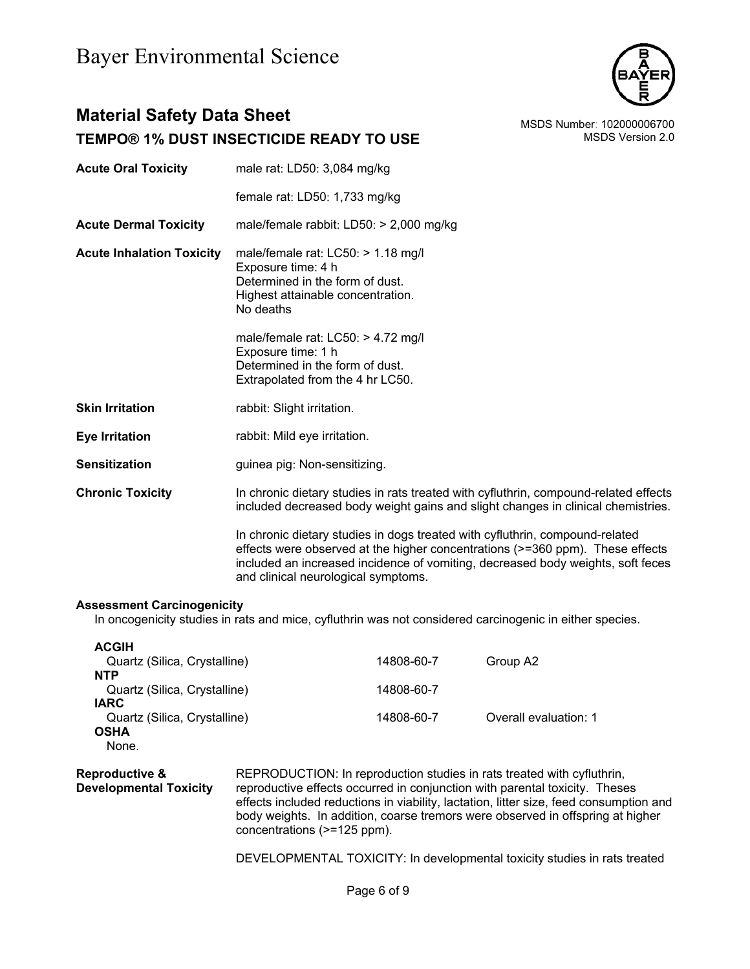

# **Material Safety Data Sheet** Material Safety Data Sheet MSDS Number: 102000006700 **TEMPO® 1% DUST INSECTICIDE READY TO USE MEDICINE ASSESS** MSDS Version 2.0

| <b>Acute Oral Toxicity</b> | male rat: LD50: 3,084 mg/kg |
|----------------------------|-----------------------------|
|                            |                             |

female rat: LD50: 1,733 mg/kg

**Acute Dermal Toxicity** male/female rabbit: LD50: > 2,000 mg/kg

**Acute Inhalation Toxicity** male/female rat: LC50: > 1.18 mg/l Exposure time: 4 h Determined in the form of dust. Highest attainable concentration. No deaths

> male/female rat: LC50: > 4.72 mg/l Exposure time: 1 h Determined in the form of dust. Extrapolated from the 4 hr LC50.

- **Skin Irritation** rabbit: Slight irritation.
- **Eye Irritation rabbit: Mild eye irritation.**
- **Sensitization guinea pig: Non-sensitizing.**

**Chronic Toxicity** In chronic dietary studies in rats treated with cyfluthrin, compound-related effects included decreased body weight gains and slight changes in clinical chemistries.

> In chronic dietary studies in dogs treated with cyfluthrin, compound-related effects were observed at the higher concentrations (>=360 ppm). These effects included an increased incidence of vomiting, decreased body weights, soft feces and clinical neurological symptoms.

### **Assessment Carcinogenicity**

In oncogenicity studies in rats and mice, cyfluthrin was not considered carcinogenic in either species.

| <b>ACGIH</b>                 |            |                       |
|------------------------------|------------|-----------------------|
| Quartz (Silica, Crystalline) | 14808-60-7 | Group A2              |
| <b>NTP</b>                   |            |                       |
| Quartz (Silica, Crystalline) | 14808-60-7 |                       |
| <b>IARC</b>                  |            |                       |
| Quartz (Silica, Crystalline) | 14808-60-7 | Overall evaluation: 1 |
| <b>OSHA</b>                  |            |                       |
| None.                        |            |                       |

**Reproductive & Developmental Toxicity** REPRODUCTION: In reproduction studies in rats treated with cyfluthrin, reproductive effects occurred in conjunction with parental toxicity. Theses effects included reductions in viability, lactation, litter size, feed consumption and body weights. In addition, coarse tremors were observed in offspring at higher concentrations (>=125 ppm).

DEVELOPMENTAL TOXICITY: In developmental toxicity studies in rats treated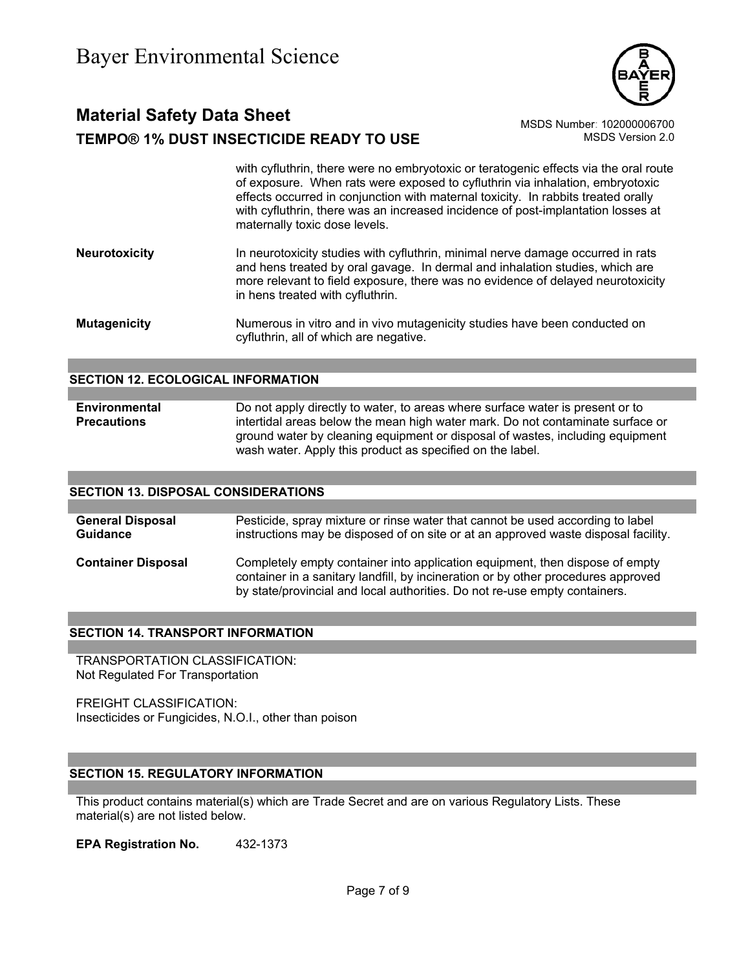

# **Material Safety Data Sheet** Material Safety Data Sheet MSDS Number: 102000006700 **TEMPO® 1% DUST INSECTICIDE READY TO USE** MSDS Version 2.0

with cyfluthrin, there were no embryotoxic or teratogenic effects via the oral route of exposure. When rats were exposed to cyfluthrin via inhalation, embryotoxic effects occurred in conjunction with maternal toxicity. In rabbits treated orally with cyfluthrin, there was an increased incidence of post-implantation losses at maternally toxic dose levels.

**Neurotoxicity** In neurotoxicity studies with cyfluthrin, minimal nerve damage occurred in rats and hens treated by oral gavage. In dermal and inhalation studies, which are more relevant to field exposure, there was no evidence of delayed neurotoxicity in hens treated with cyfluthrin.

**Mutagenicity** Numerous in vitro and in vivo mutagenicity studies have been conducted on cyfluthrin, all of which are negative.

### **SECTION 12. ECOLOGICAL INFORMATION**

**Environmental Precautions**  Do not apply directly to water, to areas where surface water is present or to intertidal areas below the mean high water mark. Do not contaminate surface or ground water by cleaning equipment or disposal of wastes, including equipment wash water. Apply this product as specified on the label.

### **SECTION 13. DISPOSAL CONSIDERATIONS**

| <b>General Disposal</b>   | Pesticide, spray mixture or rinse water that cannot be used according to label                                                                                                                                                                  |
|---------------------------|-------------------------------------------------------------------------------------------------------------------------------------------------------------------------------------------------------------------------------------------------|
| <b>Guidance</b>           | instructions may be disposed of on site or at an approved waste disposal facility.                                                                                                                                                              |
| <b>Container Disposal</b> | Completely empty container into application equipment, then dispose of empty<br>container in a sanitary landfill, by incineration or by other procedures approved<br>by state/provincial and local authorities. Do not re-use empty containers. |

### **SECTION 14. TRANSPORT INFORMATION**

TRANSPORTATION CLASSIFICATION: Not Regulated For Transportation

FREIGHT CLASSIFICATION: Insecticides or Fungicides, N.O.I., other than poison

### **SECTION 15. REGULATORY INFORMATION**

This product contains material(s) which are Trade Secret and are on various Regulatory Lists. These material(s) are not listed below.

**EPA Registration No.** 432-1373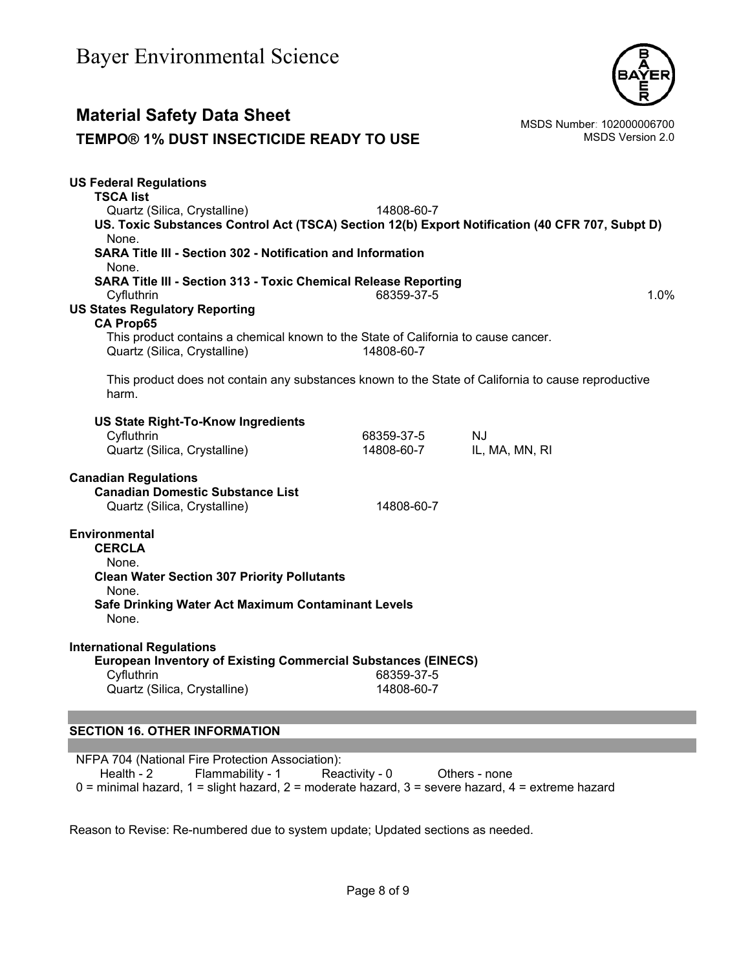

## **Material Safety Data Sheet**<br>TEMPO® 1% DUST INSECTICIDE READY TO USE MSDS Number: 102000006700 **TEMPO® 1% DUST INSECTICIDE READY TO USE US Federal Regulations TSCA list** Quartz (Silica, Crystalline) 14808-60-7 **US. Toxic Substances Control Act (TSCA) Section 12(b) Export Notification (40 CFR 707, Subpt D)** None. **SARA Title III - Section 302 - Notification and Information** None. **SARA Title III - Section 313 - Toxic Chemical Release Reporting** Cyfluthrin 68359-37-5 1.0% **US States Regulatory Reporting CA Prop65** This product contains a chemical known to the State of California to cause cancer. Quartz (Silica, Crystalline) 14808-60-7 This product does not contain any substances known to the State of California to cause reproductive harm. **US State Right-To-Know Ingredients** Cyfluthrin 68359-37-5 NJ Quartz (Silica, Crystalline) 14808-60-7 IL, MA, MN, RI **Canadian Regulations Canadian Domestic Substance List**  Quartz (Silica, Crystalline) 14808-60-7 **Environmental CERCLA**  None. **Clean Water Section 307 Priority Pollutants**  None. **Safe Drinking Water Act Maximum Contaminant Levels**  None. **International Regulations European Inventory of Existing Commercial Substances (EINECS)**  Cyfluthrin 68359-37-5 Quartz (Silica, Crystalline) 14808-60-7 **SECTION 16. OTHER INFORMATION**

NFPA 704 (National Fire Protection Association): Health - 2 Flammability - 1 Reactivity - 0 Others - none 0 = minimal hazard, 1 = slight hazard, 2 = moderate hazard, 3 = severe hazard, 4 = extreme hazard

Reason to Revise: Re-numbered due to system update; Updated sections as needed.